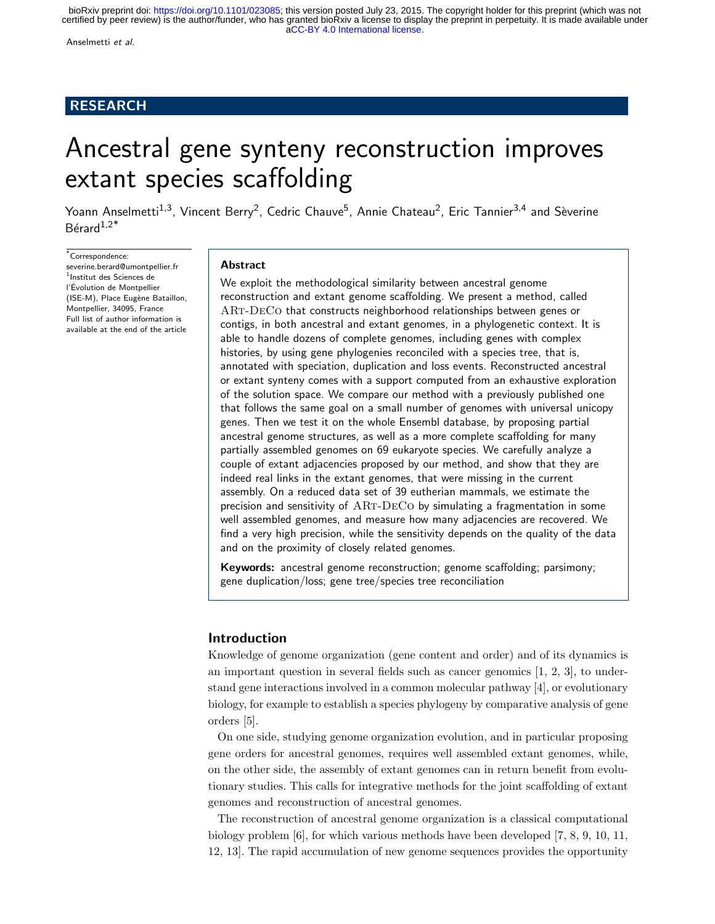Anselmetti et al.

## RESEARCH

# Ancestral gene synteny reconstruction improves extant species scaffolding

Yoann Anselmetti<sup>1,3</sup>, Vincent Berry<sup>2</sup>, Cedric Chauve<sup>5</sup>, Annie Chateau<sup>2</sup>, Eric Tannier<sup>3,4</sup> and Sèverine  $B\acute{e}$ rard $1,2*$ 

\*Correspondence: severine.berard@umontpellier.fr 1 Institut des Sciences de l'Évolution de Montpellier (ISE-M), Place Eugène Bataillon, Montpellier, 34095, France Full list of author information is available at the end of the article

#### Abstract

We exploit the methodological similarity between ancestral genome reconstruction and extant genome scaffolding. We present a method, called ARt-DeCo that constructs neighborhood relationships between genes or contigs, in both ancestral and extant genomes, in a phylogenetic context. It is able to handle dozens of complete genomes, including genes with complex histories, by using gene phylogenies reconciled with a species tree, that is, annotated with speciation, duplication and loss events. Reconstructed ancestral or extant synteny comes with a support computed from an exhaustive exploration of the solution space. We compare our method with a previously published one that follows the same goal on a small number of genomes with universal unicopy genes. Then we test it on the whole Ensembl database, by proposing partial ancestral genome structures, as well as a more complete scaffolding for many partially assembled genomes on 69 eukaryote species. We carefully analyze a couple of extant adjacencies proposed by our method, and show that they are indeed real links in the extant genomes, that were missing in the current assembly. On a reduced data set of 39 eutherian mammals, we estimate the precision and sensitivity of ARt-DeCo by simulating a fragmentation in some well assembled genomes, and measure how many adjacencies are recovered. We find a very high precision, while the sensitivity depends on the quality of the data and on the proximity of closely related genomes.

Keywords: ancestral genome reconstruction; genome scaffolding; parsimony; gene duplication/loss; gene tree/species tree reconciliation

## Introduction

Knowledge of genome organization (gene content and order) and of its dynamics is an important question in several fields such as cancer genomics [1, 2, 3], to understand gene interactions involved in a common molecular pathway [4], or evolutionary biology, for example to establish a species phylogeny by comparative analysis of gene orders [5].

On one side, studying genome organization evolution, and in particular proposing gene orders for ancestral genomes, requires well assembled extant genomes, while, on the other side, the assembly of extant genomes can in return benefit from evolutionary studies. This calls for integrative methods for the joint scaffolding of extant genomes and reconstruction of ancestral genomes.

The reconstruction of ancestral genome organization is a classical computational biology problem [6], for which various methods have been developed [7, 8, 9, 10, 11, 12, 13]. The rapid accumulation of new genome sequences provides the opportunity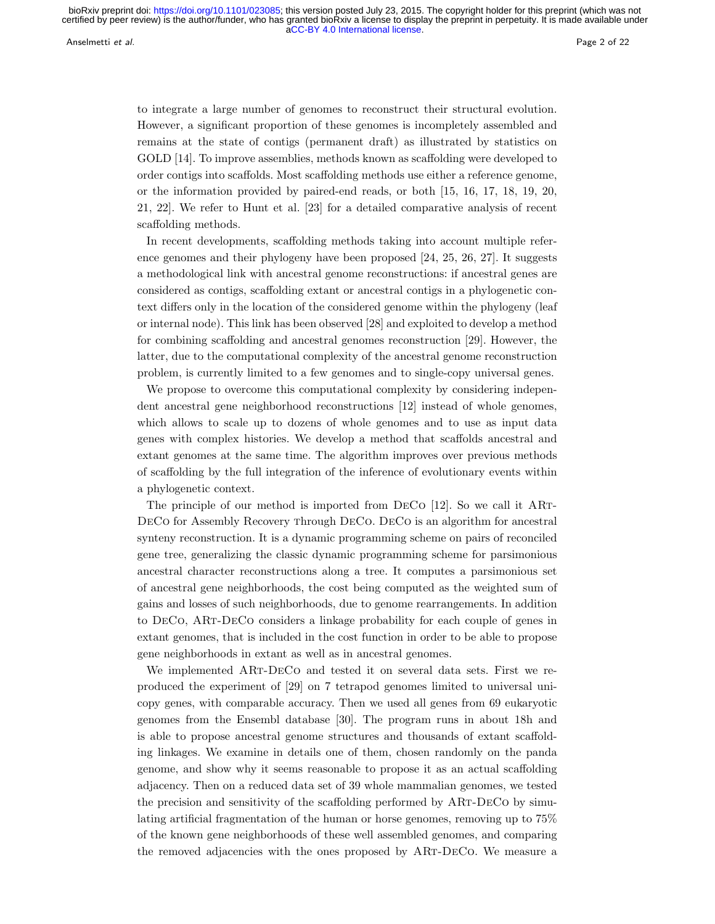Anselmetti et al. Page 2 of 22

to integrate a large number of genomes to reconstruct their structural evolution. However, a significant proportion of these genomes is incompletely assembled and remains at the state of contigs (permanent draft) as illustrated by statistics on GOLD [14]. To improve assemblies, methods known as scaffolding were developed to order contigs into scaffolds. Most scaffolding methods use either a reference genome, or the information provided by paired-end reads, or both [15, 16, 17, 18, 19, 20, 21, 22]. We refer to Hunt et al. [23] for a detailed comparative analysis of recent scaffolding methods.

In recent developments, scaffolding methods taking into account multiple reference genomes and their phylogeny have been proposed [24, 25, 26, 27]. It suggests a methodological link with ancestral genome reconstructions: if ancestral genes are considered as contigs, scaffolding extant or ancestral contigs in a phylogenetic context differs only in the location of the considered genome within the phylogeny (leaf or internal node). This link has been observed [28] and exploited to develop a method for combining scaffolding and ancestral genomes reconstruction [29]. However, the latter, due to the computational complexity of the ancestral genome reconstruction problem, is currently limited to a few genomes and to single-copy universal genes.

We propose to overcome this computational complexity by considering independent ancestral gene neighborhood reconstructions [12] instead of whole genomes, which allows to scale up to dozens of whole genomes and to use as input data genes with complex histories. We develop a method that scaffolds ancestral and extant genomes at the same time. The algorithm improves over previous methods of scaffolding by the full integration of the inference of evolutionary events within a phylogenetic context.

The principle of our method is imported from DeCo [12]. So we call it ARt-DeCo for Assembly Recovery through DeCo. DeCo is an algorithm for ancestral synteny reconstruction. It is a dynamic programming scheme on pairs of reconciled gene tree, generalizing the classic dynamic programming scheme for parsimonious ancestral character reconstructions along a tree. It computes a parsimonious set of ancestral gene neighborhoods, the cost being computed as the weighted sum of gains and losses of such neighborhoods, due to genome rearrangements. In addition to DeCo, ARt-DeCo considers a linkage probability for each couple of genes in extant genomes, that is included in the cost function in order to be able to propose gene neighborhoods in extant as well as in ancestral genomes.

We implemented ART-DECo and tested it on several data sets. First we reproduced the experiment of [29] on 7 tetrapod genomes limited to universal unicopy genes, with comparable accuracy. Then we used all genes from 69 eukaryotic genomes from the Ensembl database [30]. The program runs in about 18h and is able to propose ancestral genome structures and thousands of extant scaffolding linkages. We examine in details one of them, chosen randomly on the panda genome, and show why it seems reasonable to propose it as an actual scaffolding adjacency. Then on a reduced data set of 39 whole mammalian genomes, we tested the precision and sensitivity of the scaffolding performed by ARt-DeCo by simulating artificial fragmentation of the human or horse genomes, removing up to 75% of the known gene neighborhoods of these well assembled genomes, and comparing the removed adjacencies with the ones proposed by ARt-DeCo. We measure a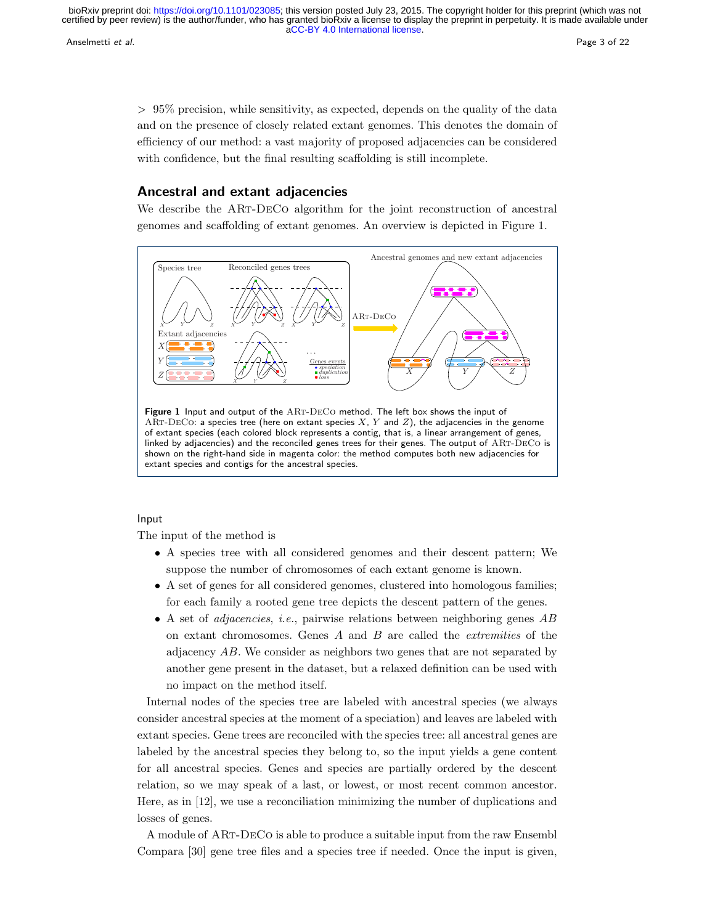> 95% precision, while sensitivity, as expected, depends on the quality of the data and on the presence of closely related extant genomes. This denotes the domain of efficiency of our method: a vast majority of proposed adjacencies can be considered with confidence, but the final resulting scaffolding is still incomplete.

## Ancestral and extant adjacencies

We describe the ART-DECo algorithm for the joint reconstruction of ancestral genomes and scaffolding of extant genomes. An overview is depicted in Figure 1.



## Input

The input of the method is

- A species tree with all considered genomes and their descent pattern; We suppose the number of chromosomes of each extant genome is known.
- A set of genes for all considered genomes, clustered into homologous families; for each family a rooted gene tree depicts the descent pattern of the genes.
- A set of *adjacencies*, *i.e.*, pairwise relations between neighboring genes  $AB$ on extant chromosomes. Genes  $A$  and  $B$  are called the *extremities* of the adjacency AB. We consider as neighbors two genes that are not separated by another gene present in the dataset, but a relaxed definition can be used with no impact on the method itself.

Internal nodes of the species tree are labeled with ancestral species (we always consider ancestral species at the moment of a speciation) and leaves are labeled with extant species. Gene trees are reconciled with the species tree: all ancestral genes are labeled by the ancestral species they belong to, so the input yields a gene content for all ancestral species. Genes and species are partially ordered by the descent relation, so we may speak of a last, or lowest, or most recent common ancestor. Here, as in [12], we use a reconciliation minimizing the number of duplications and losses of genes.

A module of ARt-DeCo is able to produce a suitable input from the raw Ensembl Compara [30] gene tree files and a species tree if needed. Once the input is given,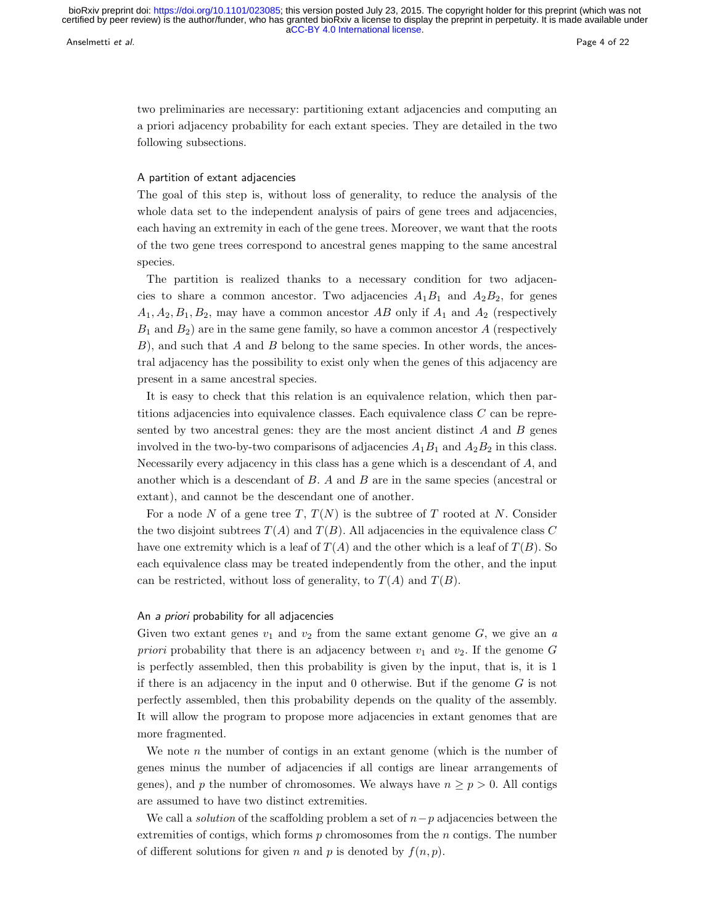Anselmetti et al. Page 4 of 22

two preliminaries are necessary: partitioning extant adjacencies and computing an a priori adjacency probability for each extant species. They are detailed in the two following subsections.

#### A partition of extant adjacencies

The goal of this step is, without loss of generality, to reduce the analysis of the whole data set to the independent analysis of pairs of gene trees and adjacencies, each having an extremity in each of the gene trees. Moreover, we want that the roots of the two gene trees correspond to ancestral genes mapping to the same ancestral species.

The partition is realized thanks to a necessary condition for two adjacencies to share a common ancestor. Two adjacencies  $A_1B_1$  and  $A_2B_2$ , for genes  $A_1, A_2, B_1, B_2$ , may have a common ancestor AB only if  $A_1$  and  $A_2$  (respectively  $B_1$  and  $B_2$ ) are in the same gene family, so have a common ancestor A (respectively  $B$ ), and such that A and B belong to the same species. In other words, the ancestral adjacency has the possibility to exist only when the genes of this adjacency are present in a same ancestral species.

It is easy to check that this relation is an equivalence relation, which then partitions adjacencies into equivalence classes. Each equivalence class  $C$  can be represented by two ancestral genes: they are the most ancient distinct  $A$  and  $B$  genes involved in the two-by-two comparisons of adjacencies  $A_1B_1$  and  $A_2B_2$  in this class. Necessarily every adjacency in this class has a gene which is a descendant of A, and another which is a descendant of B. A and B are in the same species (ancestral or extant), and cannot be the descendant one of another.

For a node N of a gene tree T,  $T(N)$  is the subtree of T rooted at N. Consider the two disjoint subtrees  $T(A)$  and  $T(B)$ . All adjacencies in the equivalence class C have one extremity which is a leaf of  $T(A)$  and the other which is a leaf of  $T(B)$ . So each equivalence class may be treated independently from the other, and the input can be restricted, without loss of generality, to  $T(A)$  and  $T(B)$ .

#### An a priori probability for all adjacencies

Given two extant genes  $v_1$  and  $v_2$  from the same extant genome G, we give an a priori probability that there is an adjacency between  $v_1$  and  $v_2$ . If the genome G is perfectly assembled, then this probability is given by the input, that is, it is 1 if there is an adjacency in the input and  $0$  otherwise. But if the genome  $G$  is not perfectly assembled, then this probability depends on the quality of the assembly. It will allow the program to propose more adjacencies in extant genomes that are more fragmented.

We note  $n$  the number of contigs in an extant genome (which is the number of genes minus the number of adjacencies if all contigs are linear arrangements of genes), and p the number of chromosomes. We always have  $n \geq p > 0$ . All contigs are assumed to have two distinct extremities.

We call a *solution* of the scaffolding problem a set of  $n-p$  adjacencies between the extremities of contigs, which forms  $p$  chromosomes from the  $n$  contigs. The number of different solutions for given n and p is denoted by  $f(n, p)$ .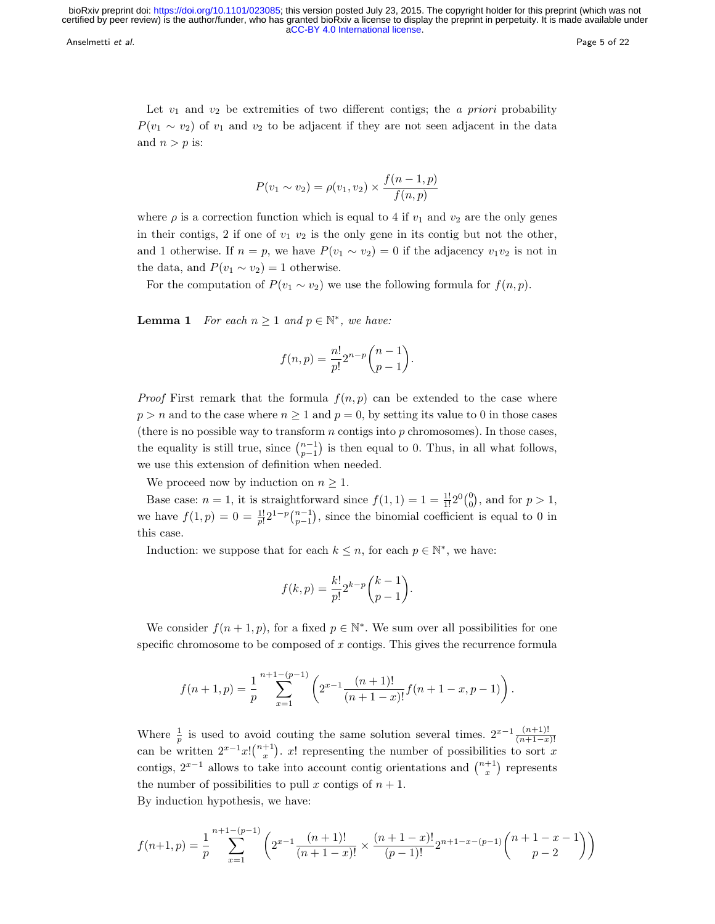Anselmetti *et al.* Page 5 of 22

Let  $v_1$  and  $v_2$  be extremities of two different contigs; the *a priori* probability  $P(v_1 \sim v_2)$  of  $v_1$  and  $v_2$  to be adjacent if they are not seen adjacent in the data and  $n > p$  is:

$$
P(v_1 \sim v_2) = \rho(v_1, v_2) \times \frac{f(n-1, p)}{f(n, p)}
$$

where  $\rho$  is a correction function which is equal to 4 if  $v_1$  and  $v_2$  are the only genes in their contigs, 2 if one of  $v_1$   $v_2$  is the only gene in its contig but not the other, and 1 otherwise. If  $n = p$ , we have  $P(v_1 \sim v_2) = 0$  if the adjacency  $v_1v_2$  is not in the data, and  $P(v_1 \sim v_2) = 1$  otherwise.

For the computation of  $P(v_1 \sim v_2)$  we use the following formula for  $f(n, p)$ .

**Lemma 1** For each  $n \ge 1$  and  $p \in \mathbb{N}^*$ , we have:

$$
f(n,p) = \frac{n!}{p!} 2^{n-p} {n-1 \choose p-1}.
$$

*Proof* First remark that the formula  $f(n, p)$  can be extended to the case where  $p > n$  and to the case where  $n \ge 1$  and  $p = 0$ , by setting its value to 0 in those cases (there is no possible way to transform  $n$  contigs into  $p$  chromosomes). In those cases, the equality is still true, since  $\binom{n-1}{p-1}$  is then equal to 0. Thus, in all what follows, we use this extension of definition when needed.

We proceed now by induction on  $n \geq 1$ .

Base case:  $n = 1$ , it is straightforward since  $f(1, 1) = 1 = \frac{1!}{1!}2^0 {0 \choose 0}$ , and for  $p > 1$ , we have  $f(1,p) = 0 = \frac{1!}{p!} 2^{1-p} {n-1 \choose p-1}$ , since the binomial coefficient is equal to 0 in this case.

Induction: we suppose that for each  $k \leq n$ , for each  $p \in \mathbb{N}^*$ , we have:

$$
f(k,p) = \frac{k!}{p!} 2^{k-p} {k-1 \choose p-1}.
$$

We consider  $f(n+1, p)$ , for a fixed  $p \in \mathbb{N}^*$ . We sum over all possibilities for one specific chromosome to be composed of  $x$  contigs. This gives the recurrence formula

$$
f(n+1,p) = \frac{1}{p} \sum_{x=1}^{n+1-(p-1)} \left( 2^{x-1} \frac{(n+1)!}{(n+1-x)!} f(n+1-x, p-1) \right).
$$

Where  $\frac{1}{p}$  is used to avoid couting the same solution several times.  $2^{x-1} \frac{(n+1)!}{(n+1-x)!}$ can be written  $2^{x-1}x!\binom{n+1}{x}$ . x! representing the number of possibilities to sort x contigs,  $2^{x-1}$  allows to take into account contig orientations and  $\binom{n+1}{x}$  represents the number of possibilities to pull x contigs of  $n + 1$ . By induction hypothesis, we have:

$$
f(n+1,p) = \frac{1}{p} \sum_{x=1}^{n+1-(p-1)} \left( 2^{x-1} \frac{(n+1)!}{(n+1-x)!} \times \frac{(n+1-x)!}{(p-1)!} 2^{n+1-x-(p-1)} \binom{n+1-x-1}{p-2} \right)
$$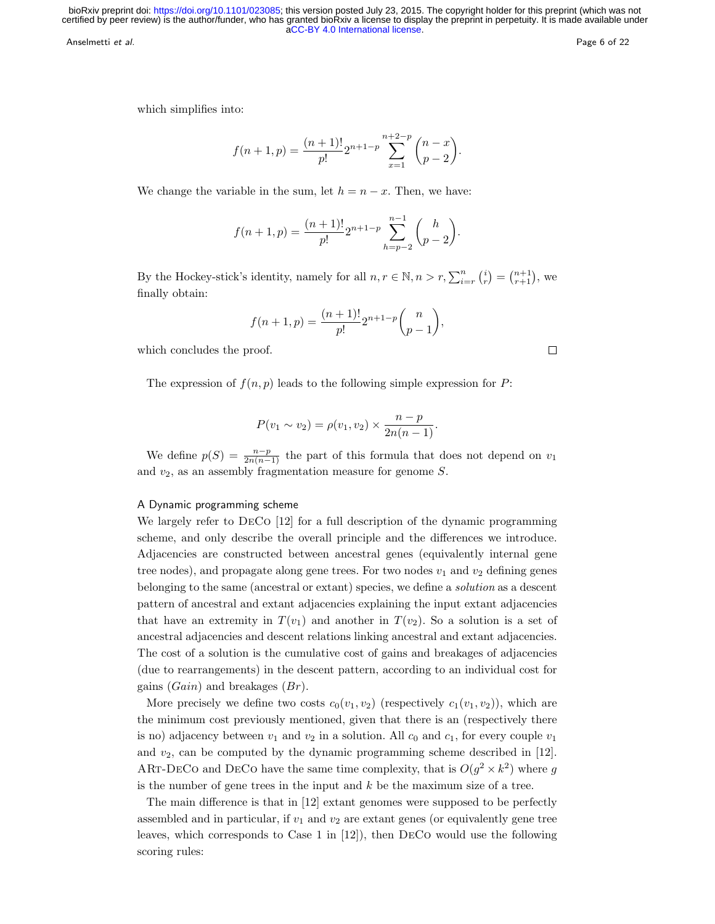Anselmetti et al. Page 6 of 22

which simplifies into:

$$
f(n+1,p) = \frac{(n+1)!}{p!} 2^{n+1-p} \sum_{x=1}^{n+2-p} {n-x \choose p-2}.
$$

We change the variable in the sum, let  $h = n - x$ . Then, we have:

$$
f(n+1,p) = \frac{(n+1)!}{p!} 2^{n+1-p} \sum_{h=p-2}^{n-1} {h \choose p-2}.
$$

By the Hockey-stick's identity, namely for all  $n, r \in \mathbb{N}, n > r, \sum_{i=r}^{n} {i \choose r} = {n+1 \choose r+1}$ , we finally obtain:

$$
f(n+1,p) = \frac{(n+1)!}{p!} 2^{n+1-p} {n \choose p-1},
$$

which concludes the proof.

The expression of  $f(n, p)$  leads to the following simple expression for P:

$$
P(v_1 \sim v_2) = \rho(v_1, v_2) \times \frac{n-p}{2n(n-1)}.
$$

We define  $p(S) = \frac{n-p}{2n(n-1)}$  the part of this formula that does not depend on  $v_1$ and  $v_2$ , as an assembly fragmentation measure for genome  $S$ .

#### A Dynamic programming scheme

We largely refer to DECO [12] for a full description of the dynamic programming scheme, and only describe the overall principle and the differences we introduce. Adjacencies are constructed between ancestral genes (equivalently internal gene tree nodes), and propagate along gene trees. For two nodes  $v_1$  and  $v_2$  defining genes belonging to the same (ancestral or extant) species, we define a solution as a descent pattern of ancestral and extant adjacencies explaining the input extant adjacencies that have an extremity in  $T(v_1)$  and another in  $T(v_2)$ . So a solution is a set of ancestral adjacencies and descent relations linking ancestral and extant adjacencies. The cost of a solution is the cumulative cost of gains and breakages of adjacencies (due to rearrangements) in the descent pattern, according to an individual cost for gains  $(Gain)$  and breakages  $(Br)$ .

More precisely we define two costs  $c_0(v_1, v_2)$  (respectively  $c_1(v_1, v_2)$ ), which are the minimum cost previously mentioned, given that there is an (respectively there is no) adjacency between  $v_1$  and  $v_2$  in a solution. All  $c_0$  and  $c_1$ , for every couple  $v_1$ and  $v_2$ , can be computed by the dynamic programming scheme described in [12]. ART-DECO and DECO have the same time complexity, that is  $O(g^2 \times k^2)$  where g is the number of gene trees in the input and  $k$  be the maximum size of a tree.

The main difference is that in [12] extant genomes were supposed to be perfectly assembled and in particular, if  $v_1$  and  $v_2$  are extant genes (or equivalently gene tree leaves, which corresponds to Case 1 in [12]), then DeCo would use the following scoring rules:

 $\Box$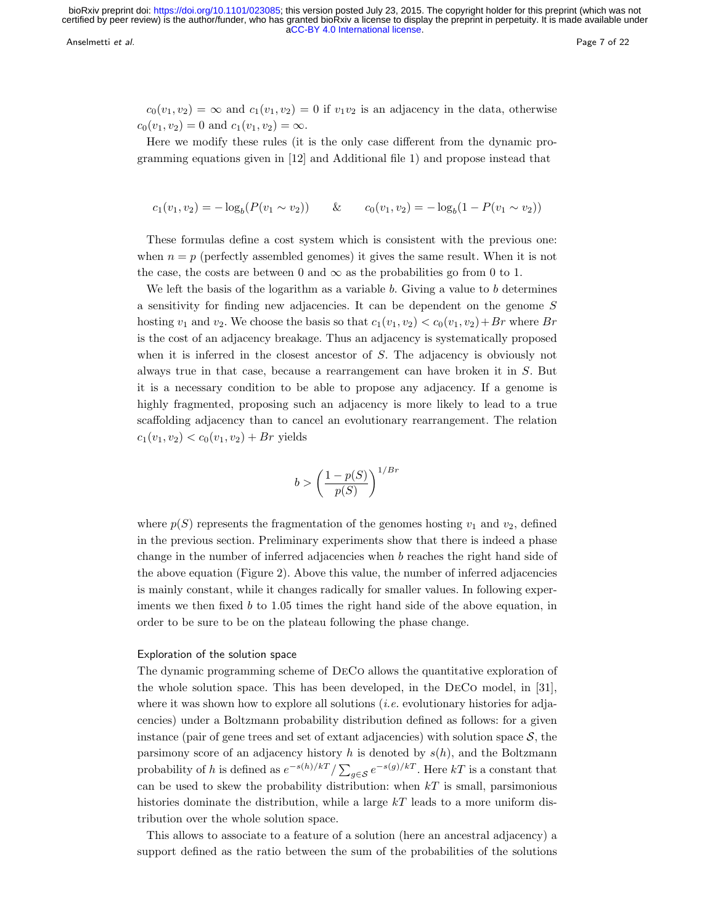Anselmetti *et al.* Page 7 of 22

 $c_0(v_1, v_2) = \infty$  and  $c_1(v_1, v_2) = 0$  if  $v_1v_2$  is an adjacency in the data, otherwise  $c_0(v_1, v_2) = 0$  and  $c_1(v_1, v_2) = \infty$ .

Here we modify these rules (it is the only case different from the dynamic programming equations given in [12] and Additional file 1) and propose instead that

$$
c_1(v_1, v_2) = -\log_b(P(v_1 \sim v_2)) \qquad \& \qquad c_0(v_1, v_2) = -\log_b(1 - P(v_1 \sim v_2))
$$

These formulas define a cost system which is consistent with the previous one: when  $n = p$  (perfectly assembled genomes) it gives the same result. When it is not the case, the costs are between 0 and  $\infty$  as the probabilities go from 0 to 1.

We left the basis of the logarithm as a variable b. Giving a value to b determines a sensitivity for finding new adjacencies. It can be dependent on the genome S hosting  $v_1$  and  $v_2$ . We choose the basis so that  $c_1(v_1, v_2) < c_0(v_1, v_2) + Br$  where Br is the cost of an adjacency breakage. Thus an adjacency is systematically proposed when it is inferred in the closest ancestor of S. The adjacency is obviously not always true in that case, because a rearrangement can have broken it in S. But it is a necessary condition to be able to propose any adjacency. If a genome is highly fragmented, proposing such an adjacency is more likely to lead to a true scaffolding adjacency than to cancel an evolutionary rearrangement. The relation  $c_1(v_1, v_2) < c_0(v_1, v_2) + Br$  yields

$$
b > \left(\frac{1-p(S)}{p(S)}\right)^{1/Br}
$$

where  $p(S)$  represents the fragmentation of the genomes hosting  $v_1$  and  $v_2$ , defined in the previous section. Preliminary experiments show that there is indeed a phase change in the number of inferred adjacencies when b reaches the right hand side of the above equation (Figure 2). Above this value, the number of inferred adjacencies is mainly constant, while it changes radically for smaller values. In following experiments we then fixed  $b$  to 1.05 times the right hand side of the above equation, in order to be sure to be on the plateau following the phase change.

#### Exploration of the solution space

The dynamic programming scheme of DeCo allows the quantitative exploration of the whole solution space. This has been developed, in the DeCo model, in [31], where it was shown how to explore all solutions *(i.e.* evolutionary histories for adjacencies) under a Boltzmann probability distribution defined as follows: for a given instance (pair of gene trees and set of extant adjacencies) with solution space  $S$ , the parsimony score of an adjacency history h is denoted by  $s(h)$ , and the Boltzmann probability of h is defined as  $e^{-s(h)/kT}/\sum_{g\in\mathcal{S}}e^{-s(g)/kT}$ . Here kT is a constant that can be used to skew the probability distribution: when  $kT$  is small, parsimonious histories dominate the distribution, while a large  $kT$  leads to a more uniform distribution over the whole solution space.

This allows to associate to a feature of a solution (here an ancestral adjacency) a support defined as the ratio between the sum of the probabilities of the solutions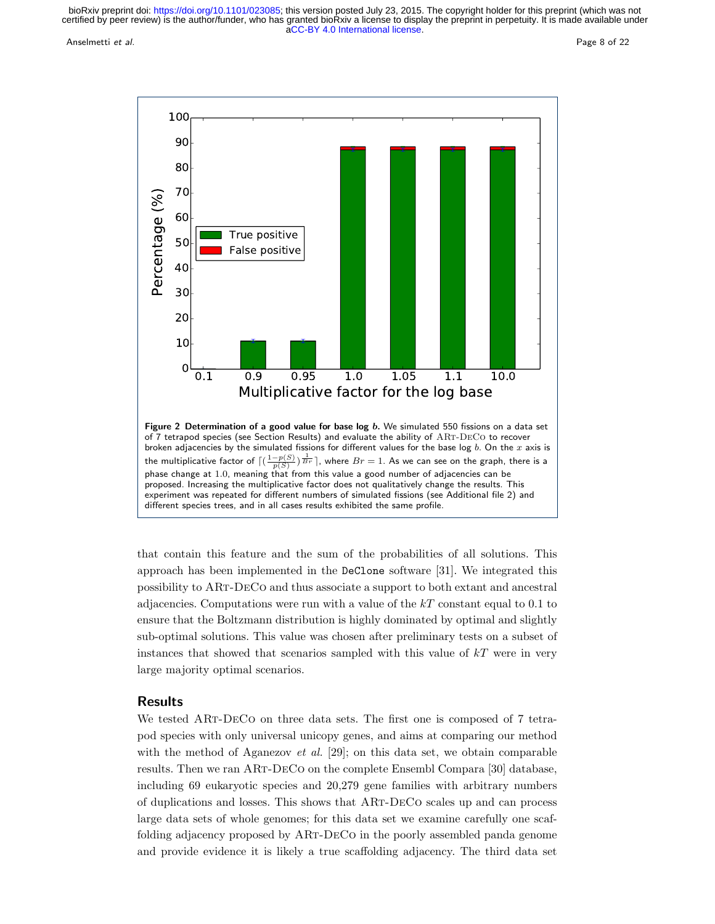Anselmetti et al. Page 8 of 22



that contain this feature and the sum of the probabilities of all solutions. This approach has been implemented in the DeClone software [31]. We integrated this possibility to ARt-DeCo and thus associate a support to both extant and ancestral adjacencies. Computations were run with a value of the  $kT$  constant equal to 0.1 to ensure that the Boltzmann distribution is highly dominated by optimal and slightly sub-optimal solutions. This value was chosen after preliminary tests on a subset of instances that showed that scenarios sampled with this value of  $kT$  were in very large majority optimal scenarios.

### Results

We tested ART-DECo on three data sets. The first one is composed of 7 tetrapod species with only universal unicopy genes, and aims at comparing our method with the method of Aganezov *et al.* [29]; on this data set, we obtain comparable results. Then we ran ARt-DeCo on the complete Ensembl Compara [30] database, including 69 eukaryotic species and 20,279 gene families with arbitrary numbers of duplications and losses. This shows that ARt-DeCo scales up and can process large data sets of whole genomes; for this data set we examine carefully one scaffolding adjacency proposed by ARt-DeCo in the poorly assembled panda genome and provide evidence it is likely a true scaffolding adjacency. The third data set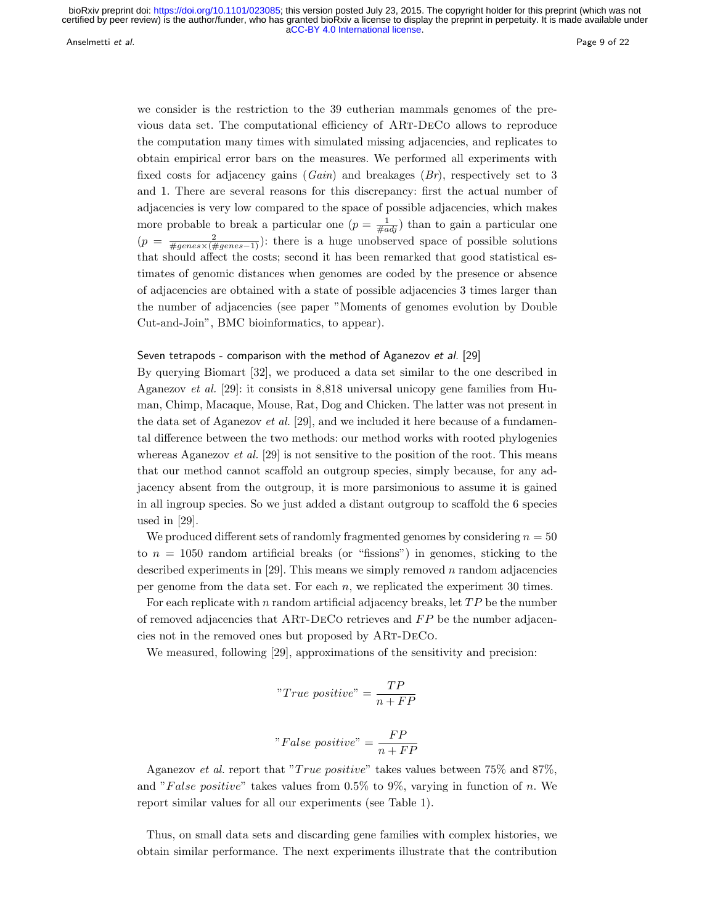Anselmetti et al. Page 9 of 22

we consider is the restriction to the 39 eutherian mammals genomes of the previous data set. The computational efficiency of ARt-DeCo allows to reproduce the computation many times with simulated missing adjacencies, and replicates to obtain empirical error bars on the measures. We performed all experiments with fixed costs for adjacency gains  $(Gain)$  and breakages  $(Br)$ , respectively set to 3 and 1. There are several reasons for this discrepancy: first the actual number of adjacencies is very low compared to the space of possible adjacencies, which makes more probable to break a particular one  $(p = \frac{1}{\#adj})$  than to gain a particular one  $(p = \frac{2}{\#genes \times (\#genes-1)})$ : there is a huge unobserved space of possible solutions that should affect the costs; second it has been remarked that good statistical estimates of genomic distances when genomes are coded by the presence or absence of adjacencies are obtained with a state of possible adjacencies 3 times larger than the number of adjacencies (see paper "Moments of genomes evolution by Double Cut-and-Join", BMC bioinformatics, to appear).

## Seven tetrapods - comparison with the method of Aganezov et al. [29]

By querying Biomart [32], we produced a data set similar to the one described in Aganezov et al. [29]: it consists in 8,818 universal unicopy gene families from Human, Chimp, Macaque, Mouse, Rat, Dog and Chicken. The latter was not present in the data set of Aganezov *et al.* [29], and we included it here because of a fundamental difference between the two methods: our method works with rooted phylogenies whereas Aganezov *et al.* [29] is not sensitive to the position of the root. This means that our method cannot scaffold an outgroup species, simply because, for any adjacency absent from the outgroup, it is more parsimonious to assume it is gained in all ingroup species. So we just added a distant outgroup to scaffold the 6 species used in [29].

We produced different sets of randomly fragmented genomes by considering  $n = 50$ to  $n = 1050$  random artificial breaks (or "fissions") in genomes, sticking to the described experiments in [29]. This means we simply removed  $n$  random adjacencies per genome from the data set. For each  $n$ , we replicated the experiment 30 times.

For each replicate with  $n$  random artificial adjacency breaks, let  $TP$  be the number of removed adjacencies that  $ART-DEC$  o retrieves and  $FP$  be the number adjacencies not in the removed ones but proposed by ARt-DeCo.

We measured, following [29], approximations of the sensitivity and precision:

"*True positive*" = 
$$
\frac{TP}{n + FP}
$$
  
"*False positive*" = 
$$
\frac{FP}{n + FP}
$$

Aganezov et al. report that "True positive" takes values between  $75\%$  and  $87\%$ , and "False positive" takes values from 0.5% to 9%, varying in function of n. We report similar values for all our experiments (see Table 1).

Thus, on small data sets and discarding gene families with complex histories, we obtain similar performance. The next experiments illustrate that the contribution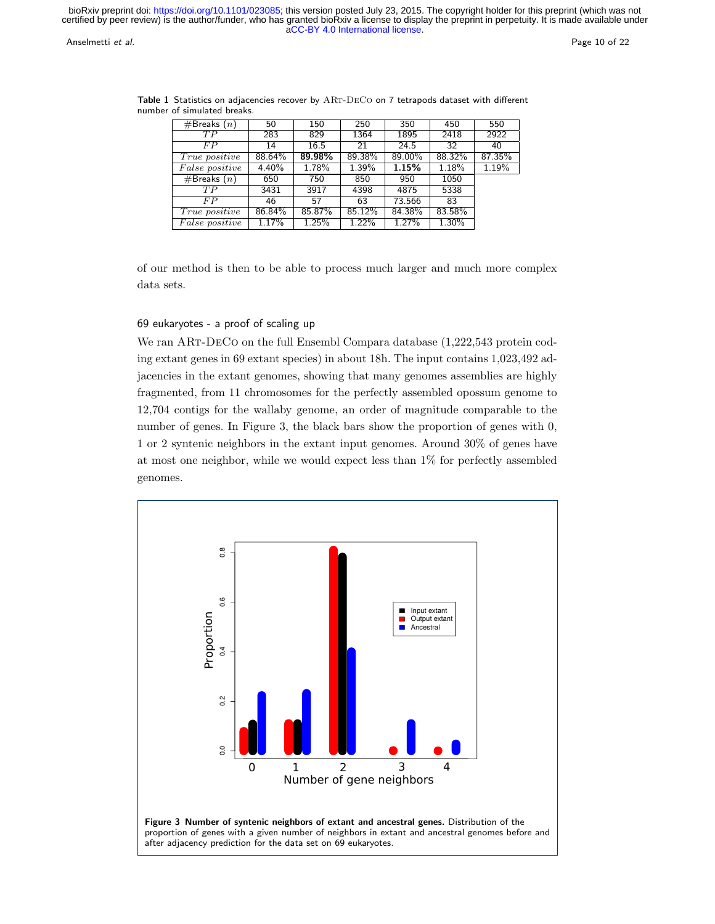| $#$ Breaks $(n)$      | 50     | 150    | 250      | 350    | 450    | 550    |
|-----------------------|--------|--------|----------|--------|--------|--------|
| $\overline{TP}$       | 283    | 829    | 1364     | 1895   | 2418   | 2922   |
| $\overline{FP}$       | 14     | 16.5   | 21       | 24.5   | 32     | 40     |
| <i>True positive</i>  | 88.64% | 89.98% | 89.38%   | 89.00% | 88.32% | 87.35% |
| False positive        | 4.40%  | 1.78%  | 1.39%    | 1.15%  | 1.18%  | 1.19%  |
| $#$ Breaks $(n)$      | 650    | 750    | 850      | 950    | 1050   |        |
| $\overline{TP}$       | 3431   | 3917   | 4398     | 4875   | 5338   |        |
| $\overline{FP}$       | 46     | 57     | 63       | 73.566 | 83     |        |
| True positive         | 86.84% | 85.87% | 85.12%   | 84.38% | 83.58% |        |
| <i>False positive</i> | 1.17%  | 1.25%  | $1.22\%$ | 1.27%  | 1.30%  |        |

Table 1 Statistics on adjacencies recover by ART-DECo on 7 tetrapods dataset with different number of simulated breaks.

of our method is then to be able to process much larger and much more complex data sets.

## 69 eukaryotes - a proof of scaling up

We ran ART-DECO on the full Ensembl Compara database  $(1,222,543)$  protein coding extant genes in 69 extant species) in about 18h. The input contains 1,023,492 adjacencies in the extant genomes, showing that many genomes assemblies are highly fragmented, from 11 chromosomes for the perfectly assembled opossum genome to 12,704 contigs for the wallaby genome, an order of magnitude comparable to the number of genes. In Figure 3, the black bars show the proportion of genes with 0, 1 or 2 syntenic neighbors in the extant input genomes. Around 30% of genes have at most one neighbor, while we would expect less than 1% for perfectly assembled genomes.

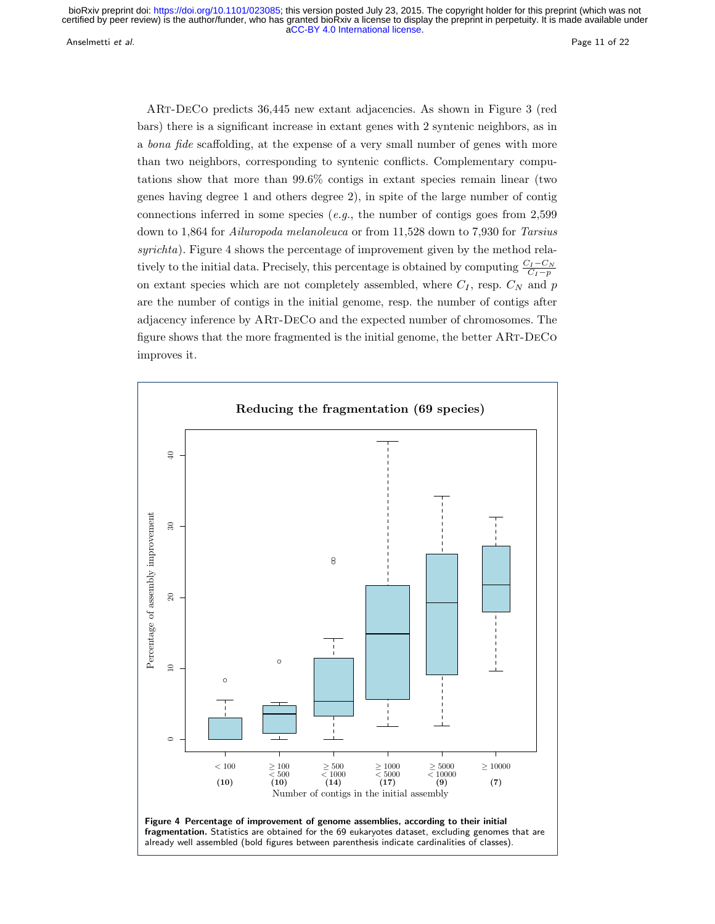Anselmetti *et al.* Page 11 of 22

ARt-DeCo predicts 36,445 new extant adjacencies. As shown in Figure 3 (red bars) there is a significant increase in extant genes with 2 syntenic neighbors, as in a bona fide scaffolding, at the expense of a very small number of genes with more than two neighbors, corresponding to syntenic conflicts. Complementary computations show that more than 99.6% contigs in extant species remain linear (two genes having degree 1 and others degree 2), in spite of the large number of contig connections inferred in some species  $(e.g.,\)$  the number of contigs goes from 2,599 down to 1,864 for Ailuropoda melanoleuca or from 11,528 down to 7,930 for Tarsius syrichta). Figure 4 shows the percentage of improvement given by the method relatively to the initial data. Precisely, this percentage is obtained by computing  $\frac{C_I-C_N}{C_I-p}$ on extant species which are not completely assembled, where  $C_I$ , resp.  $C_N$  and p are the number of contigs in the initial genome, resp. the number of contigs after adjacency inference by ARt-DeCo and the expected number of chromosomes. The figure shows that the more fragmented is the initial genome, the better ARt-DeCo improves it.

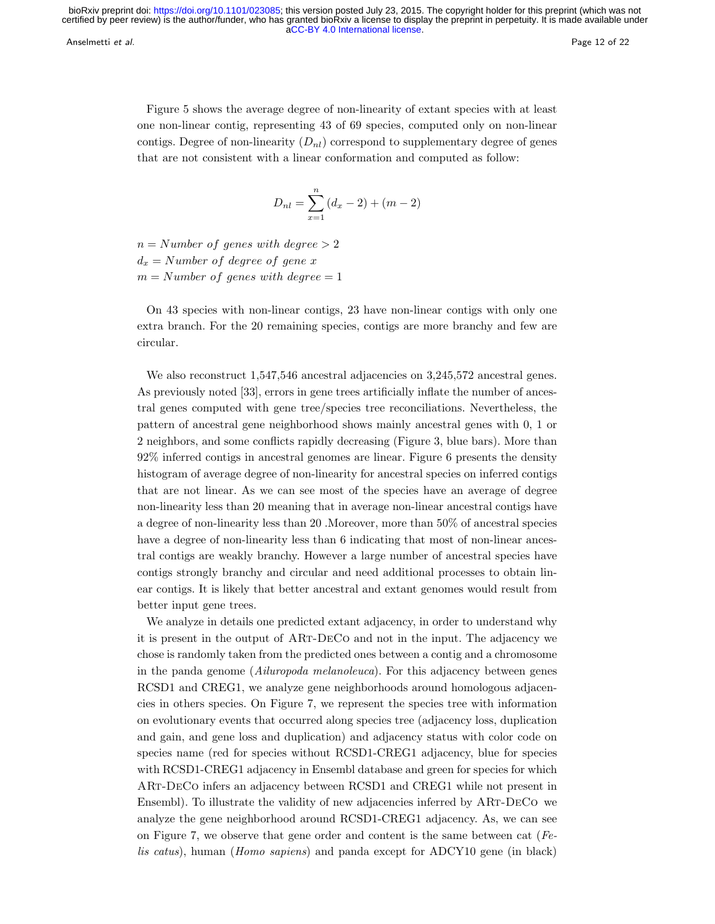Anselmetti *et al.* Page 12 of 22

Figure 5 shows the average degree of non-linearity of extant species with at least one non-linear contig, representing 43 of 69 species, computed only on non-linear contigs. Degree of non-linearity  $(D_{nl})$  correspond to supplementary degree of genes that are not consistent with a linear conformation and computed as follow:

$$
D_{nl} = \sum_{x=1}^{n} (d_x - 2) + (m - 2)
$$

 $n = Number of genes with degree > 2$  $d_x = Number of degree of gene x$  $m = Number of genes with degree = 1$ 

On 43 species with non-linear contigs, 23 have non-linear contigs with only one extra branch. For the 20 remaining species, contigs are more branchy and few are circular.

We also reconstruct  $1.547,546$  ancestral adjacencies on  $3.245,572$  ancestral genes. As previously noted [33], errors in gene trees artificially inflate the number of ancestral genes computed with gene tree/species tree reconciliations. Nevertheless, the pattern of ancestral gene neighborhood shows mainly ancestral genes with 0, 1 or 2 neighbors, and some conflicts rapidly decreasing (Figure 3, blue bars). More than 92% inferred contigs in ancestral genomes are linear. Figure 6 presents the density histogram of average degree of non-linearity for ancestral species on inferred contigs that are not linear. As we can see most of the species have an average of degree non-linearity less than 20 meaning that in average non-linear ancestral contigs have a degree of non-linearity less than 20 .Moreover, more than 50% of ancestral species have a degree of non-linearity less than 6 indicating that most of non-linear ancestral contigs are weakly branchy. However a large number of ancestral species have contigs strongly branchy and circular and need additional processes to obtain linear contigs. It is likely that better ancestral and extant genomes would result from better input gene trees.

We analyze in details one predicted extant adjacency, in order to understand why it is present in the output of ARt-DeCo and not in the input. The adjacency we chose is randomly taken from the predicted ones between a contig and a chromosome in the panda genome (Ailuropoda melanoleuca). For this adjacency between genes RCSD1 and CREG1, we analyze gene neighborhoods around homologous adjacencies in others species. On Figure 7, we represent the species tree with information on evolutionary events that occurred along species tree (adjacency loss, duplication and gain, and gene loss and duplication) and adjacency status with color code on species name (red for species without RCSD1-CREG1 adjacency, blue for species with RCSD1-CREG1 adjacency in Ensembl database and green for species for which ARt-DeCo infers an adjacency between RCSD1 and CREG1 while not present in Ensembl). To illustrate the validity of new adjacencies inferred by ARt-DeCo we analyze the gene neighborhood around RCSD1-CREG1 adjacency. As, we can see on Figure 7, we observe that gene order and content is the same between cat (Felis catus), human (Homo sapiens) and panda except for ADCY10 gene (in black)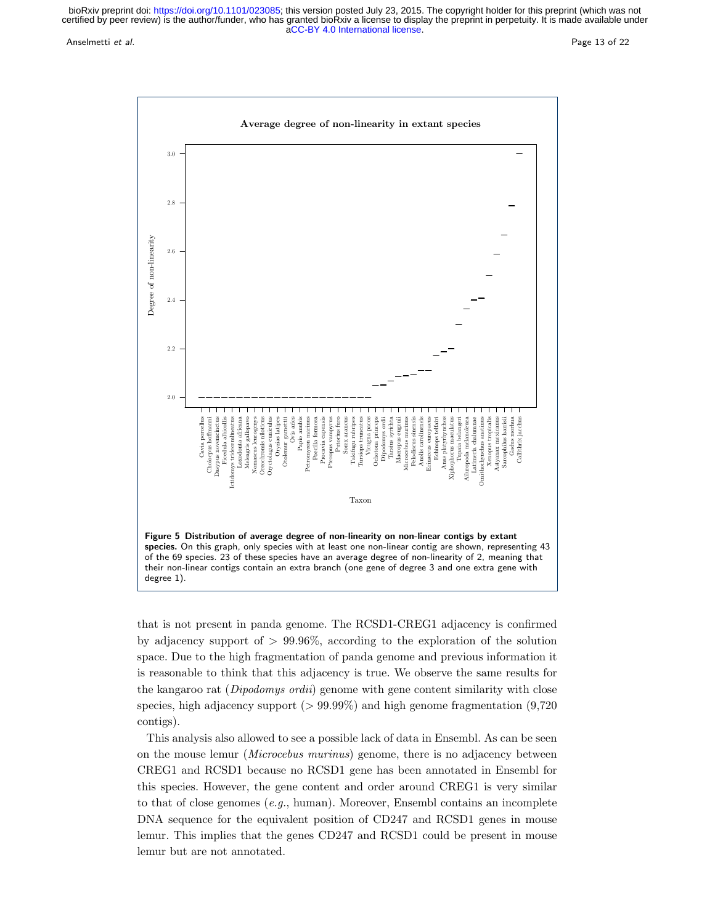Anselmetti et al. Page 13 of 22



that is not present in panda genome. The RCSD1-CREG1 adjacency is confirmed by adjacency support of > 99.96%, according to the exploration of the solution space. Due to the high fragmentation of panda genome and previous information it is reasonable to think that this adjacency is true. We observe the same results for the kangaroo rat (Dipodomys ordii) genome with gene content similarity with close species, high adjacency support ( $> 99.99\%$ ) and high genome fragmentation (9,720) contigs).

This analysis also allowed to see a possible lack of data in Ensembl. As can be seen on the mouse lemur (Microcebus murinus) genome, there is no adjacency between CREG1 and RCSD1 because no RCSD1 gene has been annotated in Ensembl for this species. However, the gene content and order around CREG1 is very similar to that of close genomes  $(e,q, \text{human})$ . Moreover, Ensembl contains an incomplete DNA sequence for the equivalent position of CD247 and RCSD1 genes in mouse lemur. This implies that the genes CD247 and RCSD1 could be present in mouse lemur but are not annotated.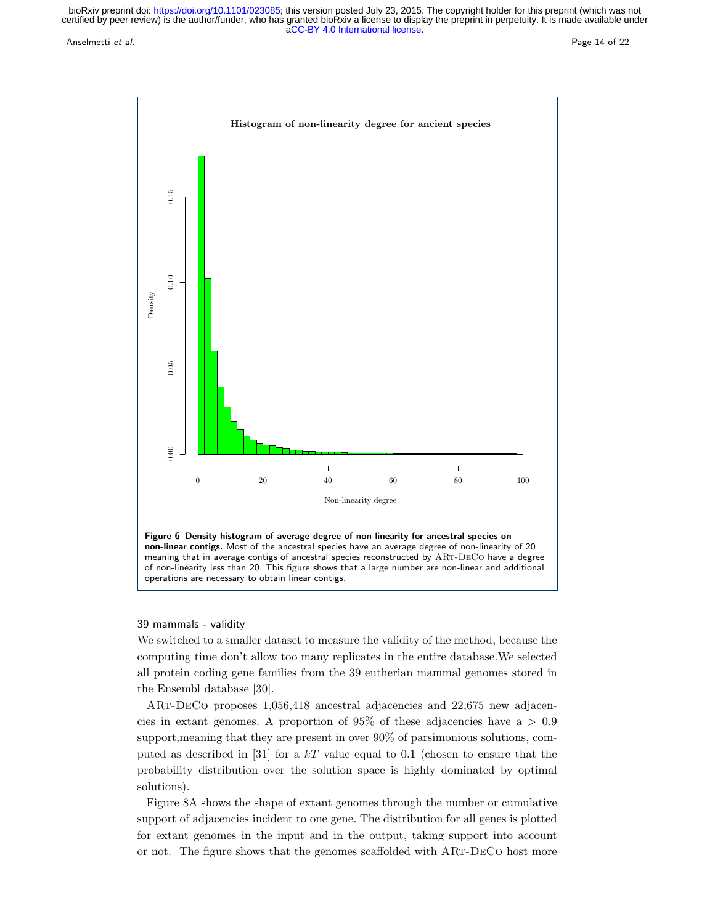Anselmetti et al. Page 14 of 22



Figure 6 Density histogram of average degree of non-linearity for ancestral species on non-linear contigs. Most of the ancestral species have an average degree of non-linearity of 20 meaning that in average contigs of ancestral species reconstructed by ARt-DeCo have a degree of non-linearity less than 20. This figure shows that a large number are non-linear and additional operations are necessary to obtain linear contigs.

Non-linearity degree

39 mammals - validity

We switched to a smaller dataset to measure the validity of the method, because the computing time don't allow too many replicates in the entire database.We selected all protein coding gene families from the 39 eutherian mammal genomes stored in the Ensembl database [30].

ARt-DeCo proposes 1,056,418 ancestral adjacencies and 22,675 new adjacencies in extant genomes. A proportion of  $95\%$  of these adjacencies have a  $> 0.9$ support,meaning that they are present in over 90% of parsimonious solutions, computed as described in [31] for a  $kT$  value equal to 0.1 (chosen to ensure that the probability distribution over the solution space is highly dominated by optimal solutions).

Figure 8A shows the shape of extant genomes through the number or cumulative support of adjacencies incident to one gene. The distribution for all genes is plotted for extant genomes in the input and in the output, taking support into account or not. The figure shows that the genomes scaffolded with ARt-DeCo host more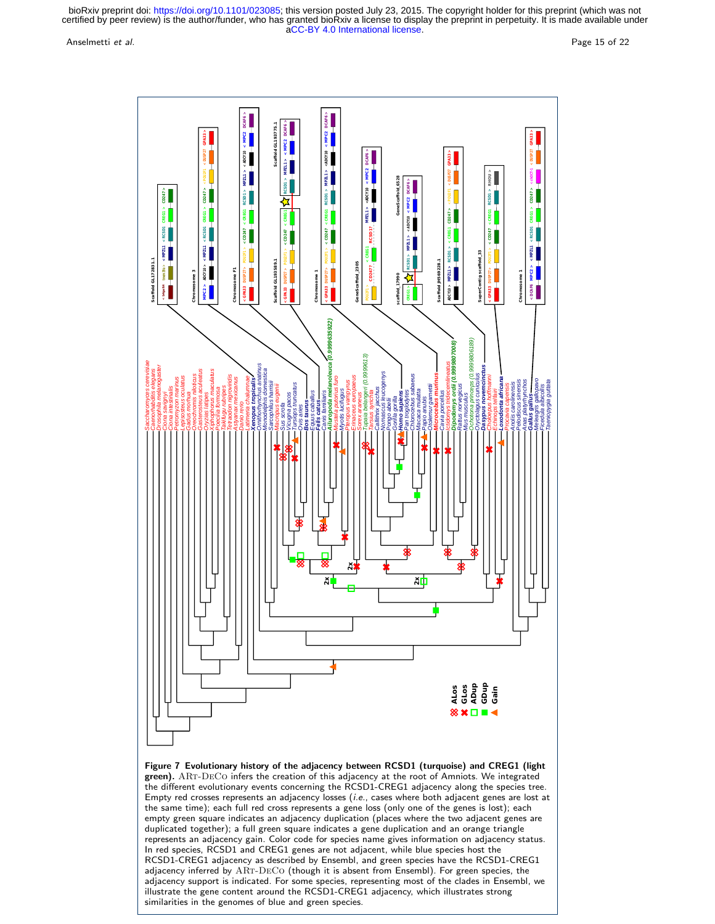Anselmetti et al. **Page 15 of 22** 



In red species, RCSD1 and CREG1 genes are not adjacent, while blue species host the RCSD1-CREG1 adjacency as described by Ensembl, and green species have the RCSD1-CREG1 adjacency inferred by ARt-DeCo (though it is absent from Ensembl). For green species, the adjacency support is indicated. For some species, representing most of the clades in Ensembl, we illustrate the gene content around the RCSD1-CREG1 adjacency, which illustrates strong similarities in the genomes of blue and green species.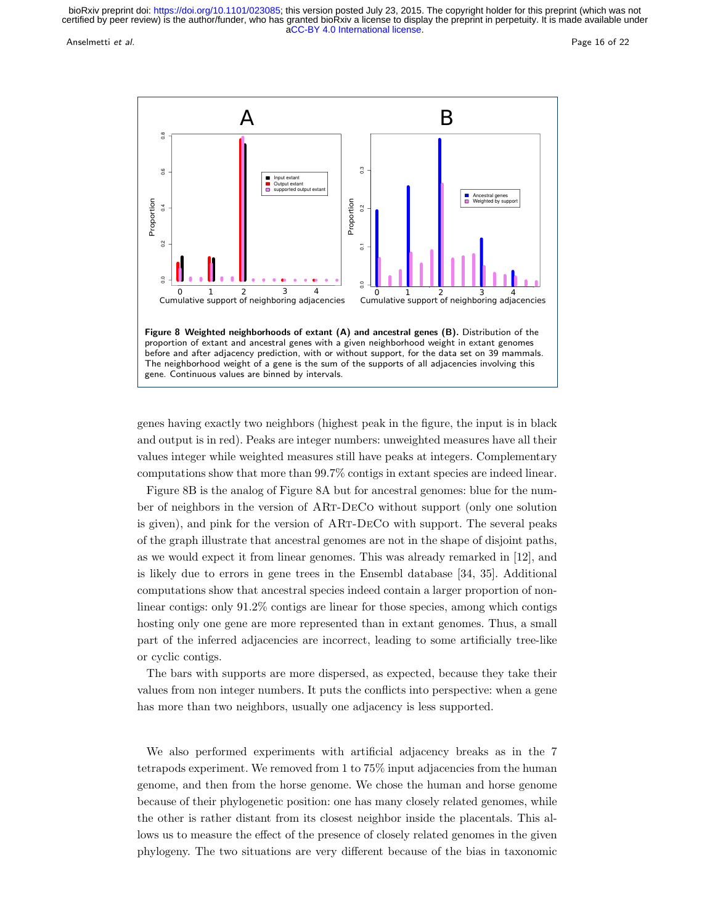Anselmetti *et al.* Page 16 of 22



genes having exactly two neighbors (highest peak in the figure, the input is in black and output is in red). Peaks are integer numbers: unweighted measures have all their values integer while weighted measures still have peaks at integers. Complementary computations show that more than 99.7% contigs in extant species are indeed linear.

Figure 8B is the analog of Figure 8A but for ancestral genomes: blue for the number of neighbors in the version of ARt-DeCo without support (only one solution is given), and pink for the version of ARt-DeCo with support. The several peaks of the graph illustrate that ancestral genomes are not in the shape of disjoint paths, as we would expect it from linear genomes. This was already remarked in [12], and is likely due to errors in gene trees in the Ensembl database [34, 35]. Additional computations show that ancestral species indeed contain a larger proportion of nonlinear contigs: only 91.2% contigs are linear for those species, among which contigs hosting only one gene are more represented than in extant genomes. Thus, a small part of the inferred adjacencies are incorrect, leading to some artificially tree-like or cyclic contigs.

The bars with supports are more dispersed, as expected, because they take their values from non integer numbers. It puts the conflicts into perspective: when a gene has more than two neighbors, usually one adjacency is less supported.

We also performed experiments with artificial adjacency breaks as in the 7 tetrapods experiment. We removed from 1 to 75% input adjacencies from the human genome, and then from the horse genome. We chose the human and horse genome because of their phylogenetic position: one has many closely related genomes, while the other is rather distant from its closest neighbor inside the placentals. This allows us to measure the effect of the presence of closely related genomes in the given phylogeny. The two situations are very different because of the bias in taxonomic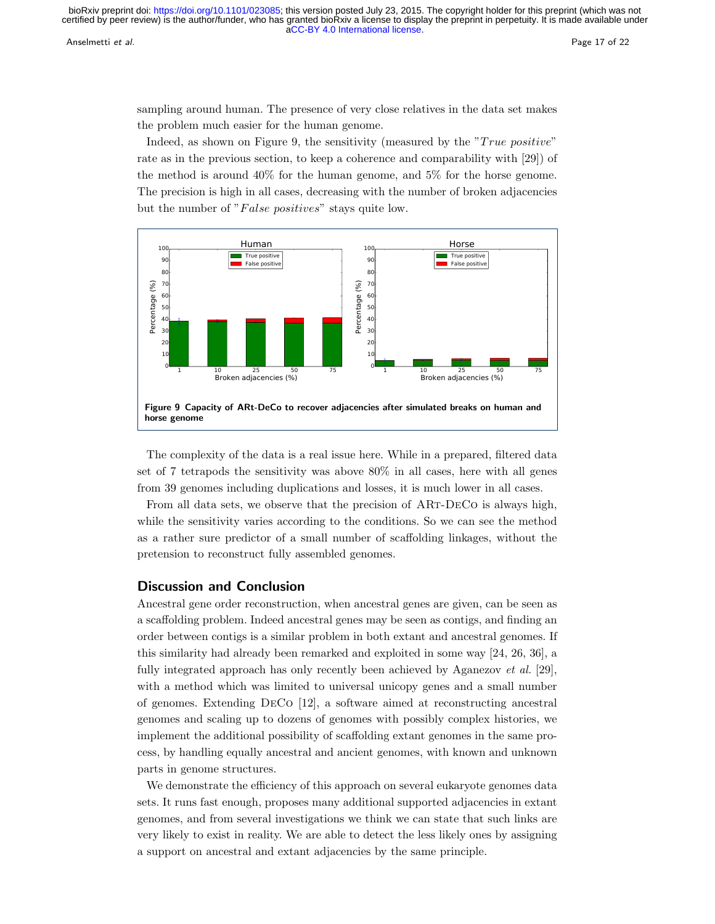sampling around human. The presence of very close relatives in the data set makes the problem much easier for the human genome.

Indeed, as shown on Figure 9, the sensitivity (measured by the " $True$  positive" rate as in the previous section, to keep a coherence and comparability with [29]) of the method is around  $40\%$  for the human genome, and  $5\%$  for the horse genome. The precision is high in all cases, decreasing with the number of broken adjacencies but the number of "False positives" stays quite low.



The complexity of the data is a real issue here. While in a prepared, filtered data set of 7 tetrapods the sensitivity was above 80% in all cases, here with all genes from 39 genomes including duplications and losses, it is much lower in all cases.

From all data sets, we observe that the precision of ARt-DeCo is always high, while the sensitivity varies according to the conditions. So we can see the method as a rather sure predictor of a small number of scaffolding linkages, without the pretension to reconstruct fully assembled genomes.

### Discussion and Conclusion

Ancestral gene order reconstruction, when ancestral genes are given, can be seen as a scaffolding problem. Indeed ancestral genes may be seen as contigs, and finding an order between contigs is a similar problem in both extant and ancestral genomes. If this similarity had already been remarked and exploited in some way [24, 26, 36], a fully integrated approach has only recently been achieved by Aganezov et al. [29], with a method which was limited to universal unicopy genes and a small number of genomes. Extending DeCo [12], a software aimed at reconstructing ancestral genomes and scaling up to dozens of genomes with possibly complex histories, we implement the additional possibility of scaffolding extant genomes in the same process, by handling equally ancestral and ancient genomes, with known and unknown parts in genome structures.

We demonstrate the efficiency of this approach on several eukaryote genomes data sets. It runs fast enough, proposes many additional supported adjacencies in extant genomes, and from several investigations we think we can state that such links are very likely to exist in reality. We are able to detect the less likely ones by assigning a support on ancestral and extant adjacencies by the same principle.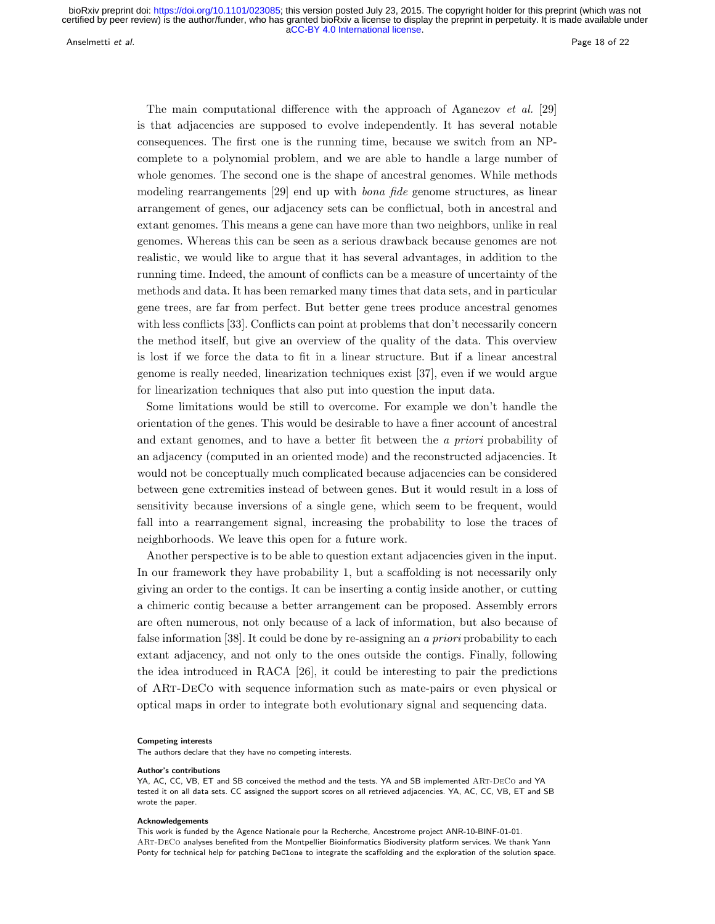Anselmetti *et al.* Page 18 of 22

The main computational difference with the approach of Aganezov et al. [29] is that adjacencies are supposed to evolve independently. It has several notable consequences. The first one is the running time, because we switch from an NPcomplete to a polynomial problem, and we are able to handle a large number of whole genomes. The second one is the shape of ancestral genomes. While methods modeling rearrangements [29] end up with bona fide genome structures, as linear arrangement of genes, our adjacency sets can be conflictual, both in ancestral and extant genomes. This means a gene can have more than two neighbors, unlike in real genomes. Whereas this can be seen as a serious drawback because genomes are not realistic, we would like to argue that it has several advantages, in addition to the running time. Indeed, the amount of conflicts can be a measure of uncertainty of the methods and data. It has been remarked many times that data sets, and in particular gene trees, are far from perfect. But better gene trees produce ancestral genomes with less conflicts [33]. Conflicts can point at problems that don't necessarily concern the method itself, but give an overview of the quality of the data. This overview is lost if we force the data to fit in a linear structure. But if a linear ancestral genome is really needed, linearization techniques exist [37], even if we would argue for linearization techniques that also put into question the input data.

Some limitations would be still to overcome. For example we don't handle the orientation of the genes. This would be desirable to have a finer account of ancestral and extant genomes, and to have a better fit between the a priori probability of an adjacency (computed in an oriented mode) and the reconstructed adjacencies. It would not be conceptually much complicated because adjacencies can be considered between gene extremities instead of between genes. But it would result in a loss of sensitivity because inversions of a single gene, which seem to be frequent, would fall into a rearrangement signal, increasing the probability to lose the traces of neighborhoods. We leave this open for a future work.

Another perspective is to be able to question extant adjacencies given in the input. In our framework they have probability 1, but a scaffolding is not necessarily only giving an order to the contigs. It can be inserting a contig inside another, or cutting a chimeric contig because a better arrangement can be proposed. Assembly errors are often numerous, not only because of a lack of information, but also because of false information [38]. It could be done by re-assigning an a priori probability to each extant adjacency, and not only to the ones outside the contigs. Finally, following the idea introduced in RACA [26], it could be interesting to pair the predictions of ARt-DeCo with sequence information such as mate-pairs or even physical or optical maps in order to integrate both evolutionary signal and sequencing data.

#### Competing interests

The authors declare that they have no competing interests.

#### Author's contributions

YA, AC, CC, VB, ET and SB conceived the method and the tests. YA and SB implemented ARt-DeCo and YA tested it on all data sets. CC assigned the support scores on all retrieved adjacencies. YA, AC, CC, VB, ET and SB wrote the paper.

#### Acknowledgements

This work is funded by the Agence Nationale pour la Recherche, Ancestrome project ANR-10-BINF-01-01. ARt-DeCo analyses benefited from the Montpellier Bioinformatics Biodiversity platform services. We thank Yann Ponty for technical help for patching DeClone to integrate the scaffolding and the exploration of the solution space.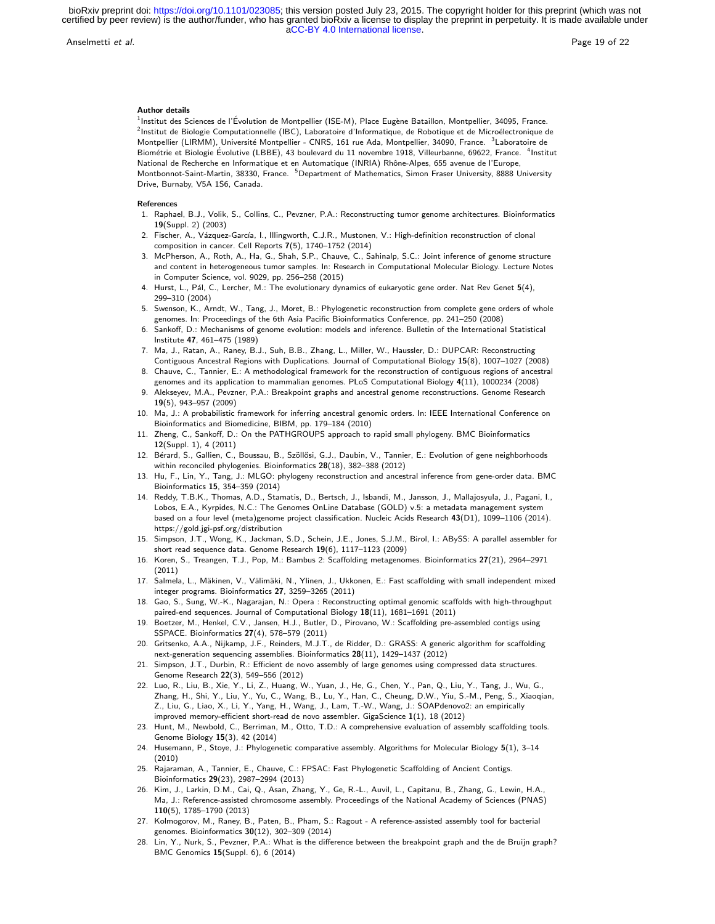Anselmetti *et al.* Page 19 of 22

#### Author details

1<sub>Institut des Sciences de l'Évolution de Montpellier (ISE-M), Place Eugène Bataillon, Montpellier, 34095, France.</sub> <sup>2</sup>Institut de Biologie Computationnelle (IBC), Laboratoire d'Informatique, de Robotique et de Microélectronique de Montpellier (LIRMM), Université Montpellier - CNRS, 161 rue Ada, Montpellier, 34090, France. <sup>3</sup>Laboratoire de Biométrie et Biologie Évolutive (LBBE), 43 boulevard du 11 novembre 1918, Villeurbanne, 69622, France. <sup>4</sup>Institut National de Recherche en Informatique et en Automatique (INRIA) Rhône-Alpes, 655 avenue de l'Europe Montbonnot-Saint-Martin, 38330, France. <sup>5</sup>Department of Mathematics, Simon Fraser University, 8888 University Drive, Burnaby, V5A 1S6, Canada.

#### References

- 1. Raphael, B.J., Volik, S., Collins, C., Pevzner, P.A.: Reconstructing tumor genome architectures. Bioinformatics 19(Suppl. 2) (2003)
- 2. Fischer, A., Vázquez-García, I., Illingworth, C.J.R., Mustonen, V.: High-definition reconstruction of clonal composition in cancer. Cell Reports  $7(5)$ , 1740-1752 (2014)
- 3. McPherson, A., Roth, A., Ha, G., Shah, S.P., Chauve, C., Sahinalp, S.C.: Joint inference of genome structure and content in heterogeneous tumor samples. In: Research in Computational Molecular Biology. Lecture Notes in Computer Science, vol. 9029, pp. 256–258 (2015)
- 4. Hurst, L., Pál, C., Lercher, M.: The evolutionary dynamics of eukaryotic gene order. Nat Rev Genet 5(4), 299–310 (2004)
- 5. Swenson, K., Arndt, W., Tang, J., Moret, B.: Phylogenetic reconstruction from complete gene orders of whole genomes. In: Proceedings of the 6th Asia Pacific Bioinformatics Conference, pp. 241–250 (2008)
- 6. Sankoff, D.: Mechanisms of genome evolution: models and inference. Bulletin of the International Statistical Institute 47, 461–475 (1989)
- 7. Ma, J., Ratan, A., Raney, B.J., Suh, B.B., Zhang, L., Miller, W., Haussler, D.: DUPCAR: Reconstructing Contiguous Ancestral Regions with Duplications. Journal of Computational Biology 15(8), 1007–1027 (2008)
- 8. Chauve, C., Tannier, E.: A methodological framework for the reconstruction of contiguous regions of ancestral genomes and its application to mammalian genomes. PLoS Computational Biology 4(11), 1000234 (2008)
- 9. Alekseyev, M.A., Pevzner, P.A.: Breakpoint graphs and ancestral genome reconstructions. Genome Research 19(5), 943–957 (2009)
- 10. Ma, J.: A probabilistic framework for inferring ancestral genomic orders. In: IEEE International Conference on Bioinformatics and Biomedicine, BIBM, pp. 179–184 (2010)
- 11. Zheng, C., Sankoff, D.: On the PATHGROUPS approach to rapid small phylogeny. BMC Bioinformatics 12(Suppl. 1), 4 (2011)
- 12. Bérard, S., Gallien, C., Boussau, B., Szöllősi, G.J., Daubin, V., Tannier, E.: Evolution of gene neighborhoods within reconciled phylogenies. Bioinformatics 28(18), 382–388 (2012)
- 13. Hu, F., Lin, Y., Tang, J.: MLGO: phylogeny reconstruction and ancestral inference from gene-order data. BMC Bioinformatics 15, 354–359 (2014)
- 14. Reddy, T.B.K., Thomas, A.D., Stamatis, D., Bertsch, J., Isbandi, M., Jansson, J., Mallajosyula, J., Pagani, I., Lobos, E.A., Kyrpides, N.C.: The Genomes OnLine Database (GOLD) v.5: a metadata management system based on a four level (meta)genome project classification. Nucleic Acids Research 43(D1), 1099–1106 (2014). https://gold.jgi-psf.org/distribution
- 15. Simpson, J.T., Wong, K., Jackman, S.D., Schein, J.E., Jones, S.J.M., Birol, I.: ABySS: A parallel assembler for short read sequence data. Genome Research  $19(6)$ ,  $1117-1123$  (2009)
- 16. Koren, S., Treangen, T.J., Pop, M.: Bambus 2: Scaffolding metagenomes. Bioinformatics 27(21), 2964–2971 (2011)
- 17. Salmela, L., Mäkinen, V., Välimäki, N., Ylinen, J., Ukkonen, E.: Fast scaffolding with small independent mixed integer programs. Bioinformatics 27, 3259–3265 (2011)
- 18. Gao, S., Sung, W.-K., Nagarajan, N.: Opera : Reconstructing optimal genomic scaffolds with high-throughput paired-end sequences. Journal of Computational Biology 18(11), 1681–1691 (2011)
- 19. Boetzer, M., Henkel, C.V., Jansen, H.J., Butler, D., Pirovano, W.: Scaffolding pre-assembled contigs using SSPACE. Bioinformatics 27(4), 578–579 (2011)
- 20. Gritsenko, A.A., Nijkamp, J.F., Reinders, M.J.T., de Ridder, D.: GRASS: A generic algorithm for scaffolding next-generation sequencing assemblies. Bioinformatics  $28(11)$ ,  $1429-1437$   $(2012)$
- 21. Simpson, J.T., Durbin, R.: Efficient de novo assembly of large genomes using compressed data structures. Genome Research 22(3), 549–556 (2012)
- 22. Luo, R., Liu, B., Xie, Y., Li, Z., Huang, W., Yuan, J., He, G., Chen, Y., Pan, Q., Liu, Y., Tang, J., Wu, G., Zhang, H., Shi, Y., Liu, Y., Yu, C., Wang, B., Lu, Y., Han, C., Cheung, D.W., Yiu, S.-M., Peng, S., Xiaoqian, Z., Liu, G., Liao, X., Li, Y., Yang, H., Wang, J., Lam, T.-W., Wang, J.: SOAPdenovo2: an empirically improved memory-efficient short-read de novo assembler. GigaScience 1(1), 18 (2012)
- 23. Hunt, M., Newbold, C., Berriman, M., Otto, T.D.: A comprehensive evaluation of assembly scaffolding tools. Genome Biology 15(3), 42 (2014)
- 24. Husemann, P., Stoye, J.: Phylogenetic comparative assembly. Algorithms for Molecular Biology 5(1), 3–14 (2010)
- 25. Rajaraman, A., Tannier, E., Chauve, C.: FPSAC: Fast Phylogenetic Scaffolding of Ancient Contigs. Bioinformatics 29(23), 2987–2994 (2013)
- 26. Kim, J., Larkin, D.M., Cai, Q., Asan, Zhang, Y., Ge, R.-L., Auvil, L., Capitanu, B., Zhang, G., Lewin, H.A., Ma, J.: Reference-assisted chromosome assembly. Proceedings of the National Academy of Sciences (PNAS) 110(5), 1785–1790 (2013)
- 27. Kolmogorov, M., Raney, B., Paten, B., Pham, S.: Ragout A reference-assisted assembly tool for bacterial genomes. Bioinformatics  $30(12)$ . 302-309 (2014)
- 28. Lin, Y., Nurk, S., Pevzner, P.A.: What is the difference between the breakpoint graph and the de Bruijn graph? BMC Genomics 15(Suppl. 6), 6 (2014)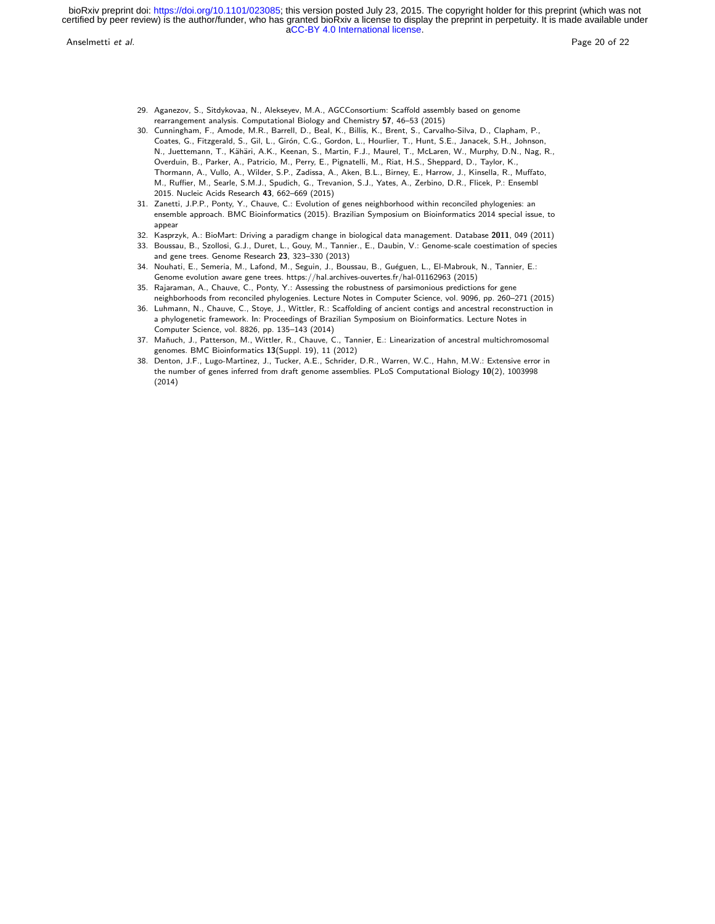Anselmetti *et al.* Page 20 of 22

- 29. Aganezov, S., Sitdykovaa, N., Alekseyev, M.A., AGCConsortium: Scaffold assembly based on genome rearrangement analysis. Computational Biology and Chemistry 57, 46–53 (2015)
- 30. Cunningham, F., Amode, M.R., Barrell, D., Beal, K., Billis, K., Brent, S., Carvalho-Silva, D., Clapham, P., Coates, G., Fitzgerald, S., Gil, L., Girón, C.G., Gordon, L., Hourlier, T., Hunt, S.E., Janacek, S.H., Johnson, N., Juettemann, T., Kähäri, A.K., Keenan, S., Martin, F.J., Maurel, T., McLaren, W., Murphy, D.N., Nag, R., Overduin, B., Parker, A., Patricio, M., Perry, E., Pignatelli, M., Riat, H.S., Sheppard, D., Taylor, K., Thormann, A., Vullo, A., Wilder, S.P., Zadissa, A., Aken, B.L., Birney, E., Harrow, J., Kinsella, R., Muffato, M., Ruffier, M., Searle, S.M.J., Spudich, G., Trevanion, S.J., Yates, A., Zerbino, D.R., Flicek, P.: Ensembl 2015. Nucleic Acids Research 43, 662–669 (2015)
- 31. Zanetti, J.P.P., Ponty, Y., Chauve, C.: Evolution of genes neighborhood within reconciled phylogenies: an ensemble approach. BMC Bioinformatics (2015). Brazilian Symposium on Bioinformatics 2014 special issue, to appear
- 32. Kasprzyk, A.: BioMart: Driving a paradigm change in biological data management. Database 2011, 049 (2011)
- 33. Boussau, B., Szollosi, G.J., Duret, L., Gouy, M., Tannier., E., Daubin, V.: Genome-scale coestimation of species and gene trees. Genome Research 23, 323–330 (2013)
- 34. Nouhati, E., Semeria, M., Lafond, M., Seguin, J., Boussau, B., Guéguen, L., El-Mabrouk, N., Tannier, E.: Genome evolution aware gene trees. https://hal.archives-ouvertes.fr/hal-01162963 (2015)
- 35. Rajaraman, A., Chauve, C., Ponty, Y.: Assessing the robustness of parsimonious predictions for gene neighborhoods from reconciled phylogenies. Lecture Notes in Computer Science, vol. 9096, pp. 260–271 (2015)
- 36. Luhmann, N., Chauve, C., Stoye, J., Wittler, R.: Scaffolding of ancient contigs and ancestral reconstruction in a phylogenetic framework. In: Proceedings of Brazilian Symposium on Bioinformatics. Lecture Notes in Computer Science, vol. 8826, pp. 135–143 (2014)
- 37. Maňuch, J., Patterson, M., Wittler, R., Chauve, C., Tannier, E.: Linearization of ancestral multichromosomal genomes. BMC Bioinformatics 13(Suppl. 19), 11 (2012)
- 38. Denton, J.F., Lugo-Martinez, J., Tucker, A.E., Schrider, D.R., Warren, W.C., Hahn, M.W.: Extensive error in the number of genes inferred from draft genome assemblies. PLoS Computational Biology 10(2), 1003998 (2014)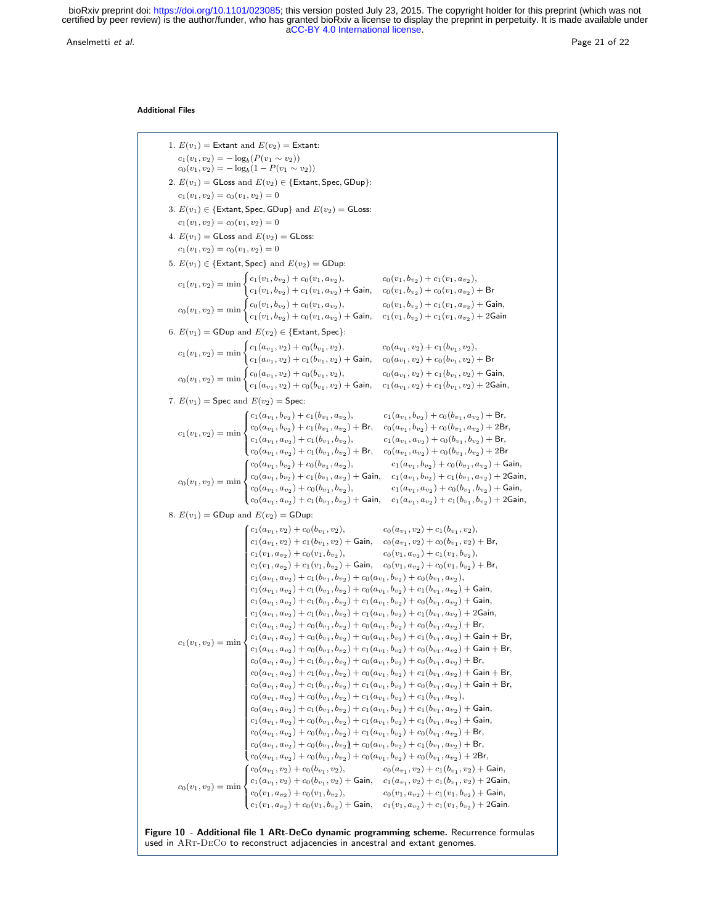Anselmetti *et al.* Page 21 of 22

#### Additional Files

```
1. E(v_1) = Extant and E(v_2) = Extant:
                c_1(v_1, v_2) = -\log_b(P(v_1 \sim v_2))c_0(v_1, v_2) = -\log_b(1 - P(v_1 \sim v_2))2. E(v_1) = \text{GLoss} and E(v_2) \in \{\text{Extant}, \text{Spec}, \text{GDup}\}\:
               c_1(v_1, v_2) = c_0(v_1, v_2) = 03. E(v_1) \in \{ \text{Extant}, \text{Spec}, \text{GDup} \} and E(v_2) = \text{GLoss}:
              c_1(v_1, v_2) = c_0(v_1, v_2) = 04. E(v_1) = GLoss and E(v_2) = GLoss:
              c_1(v_1, v_2) = c_0(v_1, v_2) = 05. E(v_1) \in \{\textsf{Extend}, \textsf{Spec}\} and E(v_2) = \textsf{GDup}:
                c_1(v_1, v_2) = \min \begin{cases} c_1(v_1, b_{v_2}) + c_0(v_1, a_{v_2}), & c_0(v_1, b_{v_2}) + c_1(v_1, a_{v_2}), \end{cases}c_1(v_1, b_{v_2}) + c_1(v_1, a_{v_2}) + Gain, c_0(v_1, b_{v_2}) + c_0(v_1, a_{v_2}) + Br
                c_0(v_1, v_2) = \min \left\{ \begin{matrix} c_0(v_1, b_{v_2}) + c_0(v_1, a_{v_2}), & c_0(v_1, b_{v_2}) + c_1(v_1, a_{v_2}) + \text{Gain}, \\ c_0(v_1, b_{v_2}) + c_1(v_1, b_{v_2}) + \text{Gain}, \\ c_0(v_1, b_{v_2}) + c_1(v_1, b_{v_2}) + \text{Gain}, \end{matrix} \right\}c_1(v_1, b_{v_2}) + c_0(v_1, a_{v_2}) + \textsf{Gain}, \quad c_1(v_1, b_{v_2}) + c_1(v_1, a_{v_2}) + 2\textsf{Gain}6. E(v_1) = GDup and E(v_2) \in \{ \text{Extant}, \text{Spec} \}:
                c_1(v_1, v_2) = \min \begin{cases} c_1(a_{v_1}, v_2) + c_0(b_{v_1}, v_2), & c_0(a_{v_1}, v_2) + c_1(b_{v_1}, v_2), \end{cases}c_1(a_{v_1}, v_2) + c_1(b_{v_1}, v_2) + Gain, c_0(a_{v_1}, v_2) + c_0(b_{v_1}, v_2) + Br
                c_0(v_1, v_2) = \min \left\{ c_0(a_{v_1}, v_2) + c_0(b_{v_1}, v_2), \right. \qquad c_0(a_{v_1}, v_2) + c_1(b_{v_1}, v_2) + \text{Gain}, \right\}c_1(a_{v_1}, v_2) + c_0(b_{v_1}, v_2) + Gain, c_1(a_{v_1}, v_2) + c_1(b_{v_1}, v_2) + 2Gain,
           7. E(v_1) = Spec and E(v_2) = Spec:
                c_1(v_1, v_2) = \min \left\{ \begin{matrix} c_1(uv_1, vv_2) + c_1(vv_1, uv_2), & c_1(uv_1, vv_2) + c_0(vv_1, uv_2) + Dt, \\ c_0(uv_1, bv_2) + c_1(bv_1, av_2) + Bt, & c_0(uv_1, bv_2) + c_0(bv_1, av_2) + 2Bt, \\ c_1(vv_1, vv_2) + c_1(vv_1, vv_2) + C_0(vv_1, vv_2) + C_0(vv_1, vv_2) + 2Bt, \end{matrix} \right\}(c_1(a_{v_1}, b_{v_2}) + c_1(b_{v_1}, a_{v_2}))\begin{array}{l}\nc_1(u_{v_1}, u_{v_2}) + c_1(v_{v_1}, v_{v_2}), & c_1(u_{v_1}, u_{v_2}) + c_0(v_{v_1}, v_{v_2}) + \mathsf{bi}, \\
c_0(u_{v_1}, u_{v_2}) + c_1(b_{v_1}, b_{v_2}) + \mathsf{Br}, & c_0(u_{v_1}, u_{v_2}) + c_0(b_{v_1}, b_{v_2}) + 2\mathsf{Br}\n\end{array}), c_1(a_{v_1}, b_{v_2}) + c_0(b_{v_1}, a_{v_2}) + \text{Br},c_1(a_{v_1}, a_{v_2}) + c_1(b_{v_1}, b_{v_2}), c_1(a_{v_1}, a_{v_2}) + c_0(b_{v_1}, b_{v_2}) + \text{Br},c_0(v_1, v_2) = \min \begin{cases} c_0(a_{v_1}, b_{v_2}) + c_0(b_{v_1}, a_{v_2}), & c_1(a_{v_1}, a_{v_2}) \ c_0(a_{v_1}, b_{v_2}) + c_1(b_{v_1}, a_{v_2}) + \textsf{Gain}, & c_1(a_{v_1}, a_{v_2}), \end{cases}\int c_0(a_{v_1}, b_{v_2}) + c_0(b_{v_1}, a_{v_2})\begin{cases} c_0(a_{v_1}, a_{v_2}) + c_0(b_{v_1}, b_{v_2}), & c_1(a_{v_1}, a_{v_2}) + c_0(b_{v_1}, b_{v_2}) + \text{Sain}, \\ c_0(a_{v_1}, a_{v_2}) + c_1(b_{v_1}, b_{v_2}) + \text{Gain}, & c_1(a_{v_1}, a_{v_2}) + c_1(b_{v_1}, b_{v_2}) + 2\text{Gain}, \end{cases}(b_{v_2}) + c_0(b_{v_1}, a_{v_2}) + Gain,
                                                 c_0(a_{v_1}, b_{v_2}) + c_1(b_{v_1}, a_{v_2}) + \textsf{Gain}, \quad c_1(a_{v_1}, b_{v_2}) + c_1(b_{v_1}, a_{v_2}) + 2\textsf{Gain},c_0(a_{v_1}, a_{v_2}) + c_0(b_{v_1}, b_{v_2}), c_1(a_{v_1}, a_{v_2}) + c_0(b_{v_1}, b_{v_2}) + Gain,
           8. E(v_1) = GDup and E(v_2) = GDup:
               c_1(v_1, v_2) = \minc_1(a_{v_1}, v_2) + c_0(b_{v_1})

                                                                                    , v_2), \qquad c_0(a_{v_1}, v_2) + c_1(b_{v_1}, v_2),c_1(a_{v_1}, v_2) + c_1(b_{v_1}, v_2) + Gain, c_0(a_{v_1}, v_2) + c_0(b_{v_1}, v_2) + Br,
                                                 c_1(v_1, a_{v_2}) + c_0(v_1, b_{v_2})c_0(v_1, a_{v_2}) + c_1(v_1, b_{v_2}),c_1(v_1, a_{v_2}) + c_1(v_1, b_{v_2}) + Gain, c_0(v_1, a_{v_2}) + c_0(v_1, b_{v_2}) + Br,
                                                 c_1(a_{v_1}, a_{v_2}) + c_1(b_{v_1}, b_{v_2}) + c_0(a_{v_1}, b_{v_2}) + c_0(b_{v_1}, a_{v_2}),c_1(a_{v_1}, a_{v_2}) + c_1(b_{v_1}, b_{v_2}) + c_0(a_{v_1}, b_{v_2}) + c_1(b_{v_1}, a_{v_2}) + \textsf{Gain},c_1(a_{v_1}, a_{v_2}) + c_1(b_{v_1}, b_{v_2}) + c_1(a_{v_1}, b_{v_2}) + c_0(b_{v_1}, a_{v_2}) + \textsf{Gain},c_1(a_{v_1}, a_{v_2}) + c_1(b_{v_1}, b_{v_2}) + c_1(a_{v_1}, b_{v_2}) + c_1(b_{v_1}, a_{v_2}) + 2Gain,
                                                 c_1(a_{v_1}, a_{v_2}) + c_0(b_{v_1}, b_{v_2}) + c_0(a_{v_1}, b_{v_2}) + c_0(b_{v_1}, a_{v_2}) + \text{Br},c_1(a_{v_1}, a_{v_2}) + c_0(b_{v_1}, b_{v_2}) + c_0(a_{v_1}, b_{v_2}) + c_1(b_{v_1}, a_{v_2}) + \textsf{Gain} + \textsf{Br},c_1(a_{v_1}, a_{v_2}) + c_0(b_{v_1}, b_{v_2}) + c_1(a_{v_1}, b_{v_2}) + c_0(b_{v_1}, a_{v_2}) + \textsf{Gain} + \textsf{Br},c_0(a_{v_1}, a_{v_2}) + c_1(b_{v_1}, b_{v_2}) + c_0(a_{v_1}, b_{v_2}) + c_0(b_{v_1}, a_{v_2}) + \text{Br},c_0(a_{v_1}, a_{v_2}) + c_1(b_{v_1}, b_{v_2}) + c_0(a_{v_1}, b_{v_2}) + c_1(b_{v_1}, a_{v_2}) + \textsf{Gain} + \textsf{Br},c_0(a_{v_1}, a_{v_2}) + c_1(b_{v_1}, b_{v_2}) + c_1(a_{v_1}, b_{v_2}) + c_0(b_{v_1}, a_{v_2}) + \textsf{Gain} + \textsf{Br},c_0(a_{v_1}, a_{v_2}) + c_0(b_{v_1}, b_{v_2}) + c_1(a_{v_1}, b_{v_2}) + c_1(b_{v_1}, a_{v_2}),c_0(a_{v_1}, a_{v_2}) + c_1(b_{v_1}, b_{v_2}) + c_1(a_{v_1}, b_{v_2}) + c_1(b_{v_1}, a_{v_2}) + \textsf{Gain},c_1(a_{v_1}, a_{v_2}) + c_0(b_{v_1}, b_{v_2}) + c_1(a_{v_1}, b_{v_2}) + c_1(b_{v_1}, a_{v_2}) + \textsf{Gain},c_0(a_{v_1}, a_{v_2}) + c_0(b_{v_1}, b_{v_2}) + c_1(a_{v_1}, b_{v_2}) + c_0(b_{v_1}, a_{v_2}) + \text{Br},c_0(a_{v_1}, a_{v_2}) + c_0(b_{v_1}, b_{v_2}) + c_0(a_{v_1}, b_{v_2}) + c_1(b_{v_1}, a_{v_2}) + \text{Br},c_0(a_{v_1}, a_{v_2}) + c_0(b_{v_1}, b_{v_2}) + c_0(a_{v_1}, b_{v_2}) + c_0(b_{v_1}, a_{v_2}) + 2\mathsf{Br},c_0(v_1, v_2) = \min\int c_0(a_{v_1}, v_2) + c_0(b_{v_1})c_1(\omega_{v_1}, \nu_2) + c_0(\omega_{v_1}, \nu_2),<br>
c_1(\alpha_{v_1}, \nu_2) + c_0(b_{v_1}, \nu_2) + \text{Gain}, \quad c_1(\alpha_{v_1}, \nu_2) + c_1(b_{v_1}, \nu_2) + 2\text{Gain},c_0(v_1, u_{v_2}) + c_0(v_1, u_{v_2}),<br>
c_1(v_1, a_{v_2}) + c_0(v_1, b_{v_2}) + Gain, c_1(v_1, a_{v_2}) + c_1(v_1, b_{v_2}) + Gain.
                                                                                    , v_2), c_0(a_{v_1}, v_2) + c_1(b_{v_1}, v_2) + Gain,
                                                 c_0(v_1, a_{v_2}) + c_0(v_1, b_{v_2}), c_0(v_1, a_{v_2}) + c_1(v_1, b_{v_2}) + Gain,
Figure 10 - Additional file 1 ARt-DeCo dynamic programming scheme. Recurrence formulas
```
used in ARt-DeCo to reconstruct adjacencies in ancestral and extant genomes.